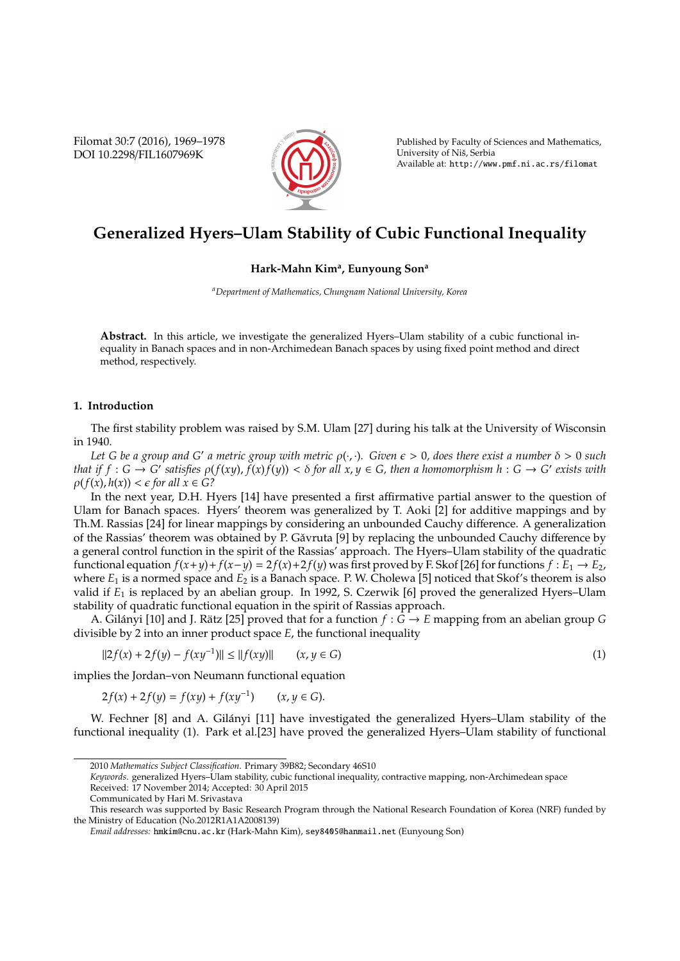Filomat 30:7 (2016), 1969–1978 DOI 10.2298/FIL1607969K



Published by Faculty of Sciences and Mathematics, University of Niš, Serbia Available at: http://www.pmf.ni.ac.rs/filomat

# **Generalized Hyers–Ulam Stability of Cubic Functional Inequality**

# **Hark-Mahn Kim<sup>a</sup> , Eunyoung Son<sup>a</sup>**

*<sup>a</sup>Department of Mathematics, Chungnam National University, Korea*

**Abstract.** In this article, we investigate the generalized Hyers–Ulam stability of a cubic functional inequality in Banach spaces and in non-Archimedean Banach spaces by using fixed point method and direct method, respectively.

# **1. Introduction**

The first stability problem was raised by S.M. Ulam [27] during his talk at the University of Wisconsin in 1940.

Let G be a group and G' a metric group with metric  $\rho(\cdot,\cdot)$ . Given  $\epsilon > 0$ , does there exist a number  $\delta > 0$  such that if  $f:G\to G'$  satisfies  $\rho(f(xy),f(x)f(y))<\delta$  for all  $x,y\in G$ , then a homomorphism  $h:G\to G'$  exists with  $\rho(f(x), h(x)) < \epsilon$  for all  $x \in G$ ?

In the next year, D.H. Hyers [14] have presented a first affirmative partial answer to the question of Ulam for Banach spaces. Hyers' theorem was generalized by T. Aoki [2] for additive mappings and by Th.M. Rassias [24] for linear mappings by considering an unbounded Cauchy difference. A generalization of the Rassias' theorem was obtained by P. Găvruta [9] by replacing the unbounded Cauchy difference by a general control function in the spirit of the Rassias' approach. The Hyers–Ulam stability of the quadratic functional equation *f*(*x*+*y*)+ *f*(*x*−*y*) = 2 *f*(*x*)+2 *f*(*y*) was first proved by F. Skof [26] for functions *f* : *E*<sup>1</sup> → *E*2, where  $E_1$  is a normed space and  $E_2$  is a Banach space. P. W. Cholewa [5] noticed that Skof's theorem is also valid if *E*<sup>1</sup> is replaced by an abelian group. In 1992, S. Czerwik [6] proved the generalized Hyers–Ulam stability of quadratic functional equation in the spirit of Rassias approach.

A. Gilányi [10] and J. Rätz [25] proved that for a function  $f : \tilde{G} \to E$  mapping from an abelian group *G* divisible by 2 into an inner product space *E*, the functional inequality

$$
||2f(x) + 2f(y) - f(xy^{-1})|| \le ||f(xy)|| \qquad (x, y \in G)
$$
\n(1)

implies the Jordan–von Neumann functional equation

$$
2f(x) + 2f(y) = f(xy) + f(xy^{-1}) \qquad (x, y \in G).
$$

W. Fechner [8] and A. Gilányi [11] have investigated the generalized Hyers–Ulam stability of the functional inequality (1). Park et al.[23] have proved the generalized Hyers–Ulam stability of functional

*Keywords*. generalized Hyers–Ulam stability, cubic functional inequality, contractive mapping, non-Archimedean space Received: 17 November 2014; Accepted: 30 April 2015

<sup>2010</sup> *Mathematics Subject Classification*. Primary 39B82; Secondary 46S10

Communicated by Hari M. Srivastava

This research was supported by Basic Research Program through the National Research Foundation of Korea (NRF) funded by the Ministry of Education (No.2012R1A1A2008139)

*Email addresses:* hmkim@cnu.ac.kr (Hark-Mahn Kim), sey8405@hanmail.net (Eunyoung Son)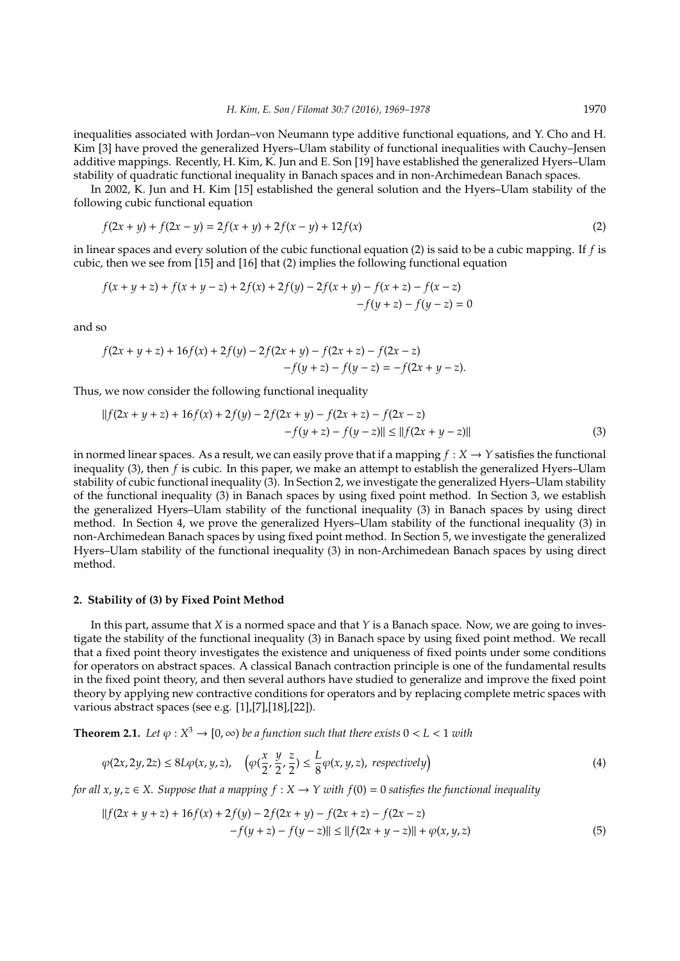inequalities associated with Jordan–von Neumann type additive functional equations, and Y. Cho and H. Kim [3] have proved the generalized Hyers–Ulam stability of functional inequalities with Cauchy–Jensen additive mappings. Recently, H. Kim, K. Jun and E. Son [19] have established the generalized Hyers–Ulam stability of quadratic functional inequality in Banach spaces and in non-Archimedean Banach spaces.

In 2002, K. Jun and H. Kim [15] established the general solution and the Hyers–Ulam stability of the following cubic functional equation

$$
f(2x + y) + f(2x - y) = 2f(x + y) + 2f(x - y) + 12f(x)
$$
\n(2)

in linear spaces and every solution of the cubic functional equation (2) is said to be a cubic mapping. If *f* is cubic, then we see from [15] and [16] that (2) implies the following functional equation

$$
f(x + y + z) + f(x + y - z) + 2f(x) + 2f(y) - 2f(x + y) - f(x + z) - f(x - z)
$$
  
- 
$$
f(y + z) - f(y - z) = 0
$$

and so

$$
f(2x + y + z) + 16f(x) + 2f(y) - 2f(2x + y) - f(2x + z) - f(2x - z) - f(y + z) - f(y - z) = -f(2x + y - z).
$$

Thus, we now consider the following functional inequality

$$
||f(2x + y + z) + 16f(x) + 2f(y) - 2f(2x + y) - f(2x + z) - f(2x - z)
$$
  
- 
$$
-f(y + z) - f(y - z)|| \le ||f(2x + y - z)||
$$
 (3)

in normed linear spaces. As a result, we can easily prove that if a mapping  $f : X \to Y$  satisfies the functional inequality (3), then *f* is cubic. In this paper, we make an attempt to establish the generalized Hyers–Ulam stability of cubic functional inequality (3). In Section 2, we investigate the generalized Hyers–Ulam stability of the functional inequality (3) in Banach spaces by using fixed point method. In Section 3, we establish the generalized Hyers–Ulam stability of the functional inequality (3) in Banach spaces by using direct method. In Section 4, we prove the generalized Hyers–Ulam stability of the functional inequality (3) in non-Archimedean Banach spaces by using fixed point method. In Section 5, we investigate the generalized Hyers–Ulam stability of the functional inequality (3) in non-Archimedean Banach spaces by using direct method.

#### **2. Stability of (3) by Fixed Point Method**

In this part, assume that *X* is a normed space and that *Y* is a Banach space. Now, we are going to investigate the stability of the functional inequality (3) in Banach space by using fixed point method. We recall that a fixed point theory investigates the existence and uniqueness of fixed points under some conditions for operators on abstract spaces. A classical Banach contraction principle is one of the fundamental results in the fixed point theory, and then several authors have studied to generalize and improve the fixed point theory by applying new contractive conditions for operators and by replacing complete metric spaces with various abstract spaces (see e.g. [1],[7],[18],[22]).

**Theorem 2.1.** Let  $\varphi: X^3 \to [0, \infty)$  be a function such that there exists  $0 < L < 1$  with

$$
\varphi(2x, 2y, 2z) \le 8L\varphi(x, y, z), \quad \left(\varphi(\frac{x}{2}, \frac{y}{2}, \frac{z}{2}) \le \frac{L}{8}\varphi(x, y, z), \text{ respectively}\right) \tag{4}
$$

*for all x*,  $y, z \in X$ . Suppose that a mapping  $f : X \to Y$  with  $f(0) = 0$  satisfies the functional inequality

$$
||f(2x + y + z) + 16f(x) + 2f(y) - 2f(2x + y) - f(2x + z) - f(2x - z)
$$
  
- 
$$
-f(y + z) - f(y - z)|| \le ||f(2x + y - z)|| + \varphi(x, y, z)
$$
 (5)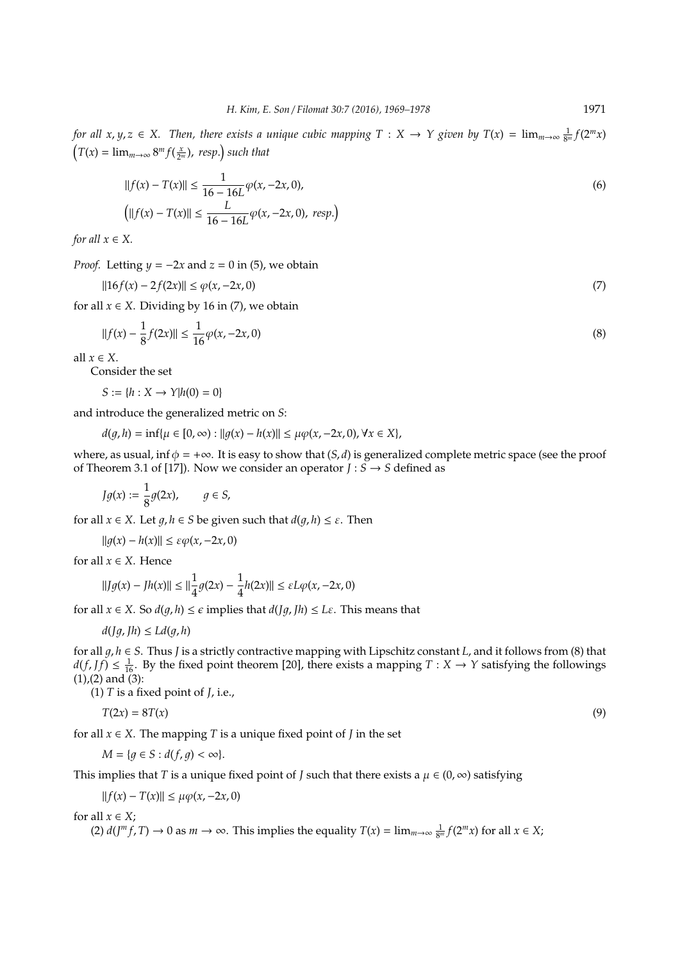*for all*  $x, y, z \in X$ . Then, there exists a unique cubic mapping  $T : X \to Y$  given by  $T(x) = \lim_{m \to \infty} \frac{1}{8^m} f(2^m x)$  $T(x) = \lim_{m \to \infty} 8^m f(\frac{x}{2^m})$ , *resp.*) such that

$$
||f(x) - T(x)|| \le \frac{1}{16 - 16L} \varphi(x, -2x, 0),
$$
  
\n
$$
||[f(x) - T(x)||] \le \frac{L}{16 - 16L} \varphi(x, -2x, 0), \text{ resp.} (6)
$$

*for all*  $x \in X$ *.* 

*Proof.* Letting  $y = -2x$  and  $z = 0$  in (5), we obtain

$$
||16f(x) - 2f(2x)|| \le \varphi(x, -2x, 0) \tag{7}
$$

for all  $x \in X$ . Dividing by 16 in (7), we obtain

$$
||f(x) - \frac{1}{8}f(2x)|| \le \frac{1}{16}\varphi(x, -2x, 0)
$$
\n(8)

all  $x \in X$ .

Consider the set

$$
S:=\{h:X\to Y|h(0)=0\}
$$

and introduce the generalized metric on *S*:

 $d(q, h) = \inf\{\mu \in [0, \infty) : ||q(x) - h(x)|| \leq \mu \varphi(x, -2x, 0), \forall x \in X\},\$ 

where, as usual, inf  $\phi = +\infty$ . It is easy to show that  $(S, d)$  is generalized complete metric space (see the proof of Theorem 3.1 of [17]). Now we consider an operator  $\overline{J}$  :  $\overline{S}$   $\rightarrow$  *S* defined as

$$
Jg(x) := \frac{1}{8}g(2x), \qquad g \in S,
$$

for all  $x \in X$ . Let  $q, h \in S$  be given such that  $d(q, h) \leq \varepsilon$ . Then

 $||q(x) - h(x)||$  ≤  $\varepsilon \varphi(x, -2x, 0)$ 

for all  $x \in X$ . Hence

$$
||Jg(x) - Jh(x)|| \le ||\frac{1}{4}g(2x) - \frac{1}{4}h(2x)|| \le \varepsilon L\varphi(x, -2x, 0)
$$

for all  $x \in X$ . So  $d(g, h) \leq \epsilon$  implies that  $d(Jg, Jh) \leq L\epsilon$ . This means that

$$
d(Jg, Jh) \le Ld(g, h)
$$

for all 1, *h* ∈ *S*. Thus *J* is a strictly contractive mapping with Lipschitz constant *L*, and it follows from (8) that  $d(f, Jf) \leq \frac{1}{16}$ . By the fixed point theorem [20], there exists a mapping  $T : X \to Y$  satisfying the followings  $(1)$ , $(2)$  and  $(3)$ :

(1) *T* is a fixed point of *J*, i.e.,

$$
T(2x) = 8T(x) \tag{9}
$$

for all  $x \in X$ . The mapping *T* is a unique fixed point of *J* in the set

$$
M = \{ g \in S : d(f, g) < \infty \}.
$$

This implies that *T* is a unique fixed point of *J* such that there exists a  $\mu \in (0, \infty)$  satisfying

$$
||f(x) - T(x)|| \le \mu \varphi(x, -2x, 0)
$$

for all  $x \in X$ ;

(2)  $d(J^m f, T) \to 0$  as  $m \to \infty$ . This implies the equality  $T(x) = \lim_{m \to \infty} \frac{1}{8^m} f(2^m x)$  for all  $x \in X$ ;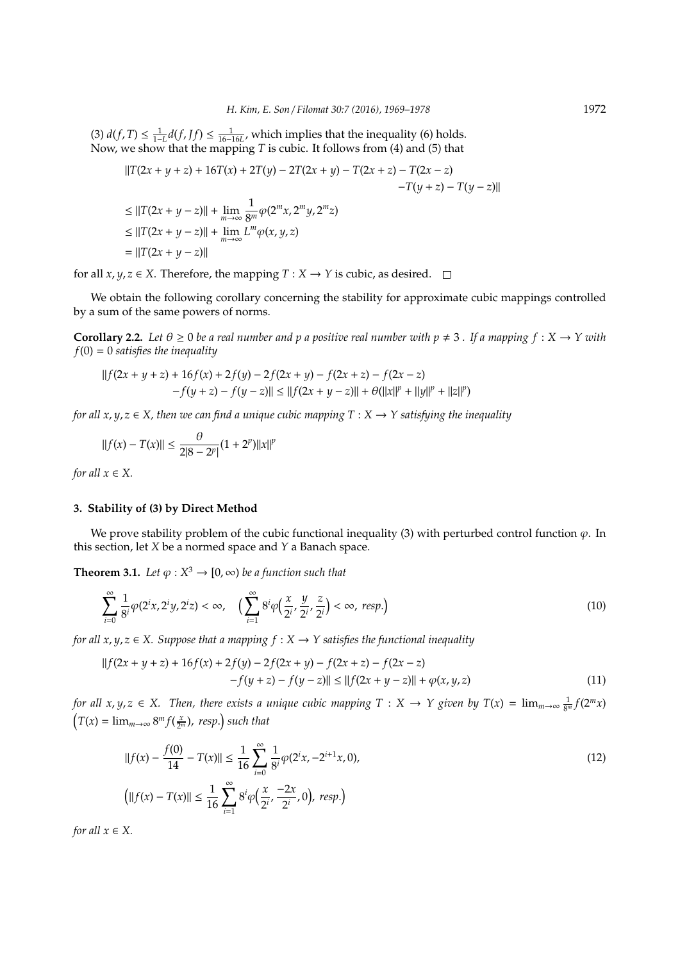(3)  $d(f, T) \le \frac{1}{1 - L} d(f, Jf) \le \frac{1}{16 - 16L}$ , which implies that the inequality (6) holds. Now, we show that the mapping *T* is cubic. It follows from (4) and (5) that

$$
||T(2x + y + z) + 16T(x) + 2T(y) - 2T(2x + y) - T(2x + z) - T(2x - z)
$$
  
\n
$$
-T(y + z) - T(y - z)||
$$
  
\n
$$
\leq ||T(2x + y - z)|| + \lim_{m \to \infty} \frac{1}{8^m} \varphi(2^m x, 2^m y, 2^m z)
$$
  
\n
$$
\leq ||T(2x + y - z)|| + \lim_{m \to \infty} L^m \varphi(x, y, z)
$$
  
\n
$$
= ||T(2x + y - z)||
$$

for all *x*, *y*, *z*  $\in$  *X*. Therefore, the mapping  $T : X \rightarrow Y$  is cubic, as desired.  $\Box$ 

We obtain the following corollary concerning the stability for approximate cubic mappings controlled by a sum of the same powers of norms.

**Corollary 2.2.** Let  $\theta \ge 0$  be a real number and p a positive real number with  $p \ne 3$ . If a mapping  $f : X \to Y$  with *f*(0) = 0 *satisfies the inequality*

$$
||f(2x + y + z) + 16f(x) + 2f(y) - 2f(2x + y) - f(2x + z) - f(2x - z)
$$
  
-f(y + z) - f(y - z)|| \le ||f(2x + y - z)|| + \theta(||x||<sup>p</sup> + ||y||<sup>p</sup> + ||z||<sup>p</sup>)

*for all x*, *y*,  $z \in X$ , then we can find a unique cubic mapping  $T : X \rightarrow Y$  satisfying the inequality

$$
||f(x) - T(x)|| \le \frac{\theta}{2|8 - 2^p|}(1 + 2^p)||x||^p
$$

*for all*  $x \in X$ *.* 

## **3. Stability of (3) by Direct Method**

We prove stability problem of the cubic functional inequality (3) with perturbed control function  $\varphi$ . In this section, let *X* be a normed space and *Y* a Banach space.

**Theorem 3.1.** *Let*  $\varphi$  :  $X^3 \to [0, \infty)$  *be a function such that* 

$$
\sum_{i=0}^{\infty} \frac{1}{8^i} \varphi(2^i x, 2^i y, 2^i z) < \infty, \quad \left( \sum_{i=1}^{\infty} 8^i \varphi\left(\frac{x}{2^i}, \frac{y}{2^i}, \frac{z}{2^i}\right) < \infty, \text{ resp.} \right) \tag{10}
$$

*for all x, y, z*  $\in$  *X. Suppose that a mapping f* : *X*  $\rightarrow$  *Y satisfies the functional inequality* 

$$
||f(2x + y + z) + 16f(x) + 2f(y) - 2f(2x + y) - f(2x + z) - f(2x - z)
$$
  
- 
$$
-f(y + z) - f(y - z)|| \le ||f(2x + y - z)|| + \varphi(x, y, z)
$$
 (11)

*for all*  $x, y, z \in X$ . Then, there exists a unique cubic mapping  $T: X \to Y$  given by  $T(x) = \lim_{m \to \infty} \frac{1}{8^m} f(2^m x)$  $T(x) = \lim_{m \to \infty} 8^m f(\frac{x}{2^m})$ , *resp.*) such that

$$
||f(x) - \frac{f(0)}{14} - T(x)|| \le \frac{1}{16} \sum_{i=0}^{\infty} \frac{1}{8^i} \varphi(2^i x, -2^{i+1} x, 0),
$$
  
\n
$$
\left( ||f(x) - T(x)|| \le \frac{1}{16} \sum_{i=1}^{\infty} 8^i \varphi(\frac{x}{2^i}, \frac{-2x}{2^i}, 0), \text{ resp.} \right)
$$
\n(12)

*for all*  $x \in X$ *.*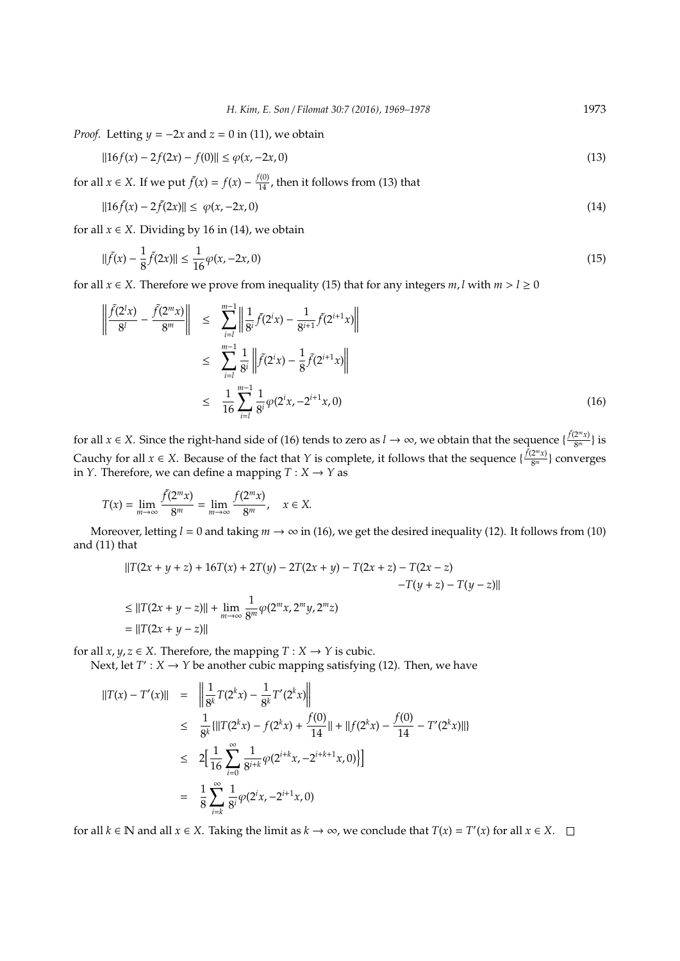*Proof.* Letting  $y = -2x$  and  $z = 0$  in (11), we obtain

$$
||16f(x) - 2f(2x) - f(0)|| \le \varphi(x, -2x, 0)
$$
\n(13)

for all  $x \in X$ . If we put  $\tilde{f}(x) = f(x) - \frac{f(0)}{14}$ , then it follows from (13) that

$$
||16\tilde{f}(x) - 2\tilde{f}(2x)|| \le \varphi(x, -2x, 0) \tag{14}
$$

for all  $x \in X$ . Dividing by 16 in (14), we obtain

$$
\|\tilde{f}(x) - \frac{1}{8}\tilde{f}(2x)\| \le \frac{1}{16}\varphi(x, -2x, 0)
$$
\n(15)

for all  $x \in X$ . Therefore we prove from inequality (15) that for any integers *m*, *l* with  $m > l \ge 0$ 

$$
\left\| \frac{\tilde{f}(2^l x)}{8^l} - \frac{\tilde{f}(2^m x)}{8^m} \right\| \leq \sum_{i=l}^{m-1} \left\| \frac{1}{8^i} \tilde{f}(2^i x) - \frac{1}{8^{i+1}} \tilde{f}(2^{i+1} x) \right\|
$$
  

$$
\leq \sum_{i=l}^{m-1} \frac{1}{8^i} \left\| \tilde{f}(2^i x) - \frac{1}{8} \tilde{f}(2^{i+1} x) \right\|
$$
  

$$
\leq \frac{1}{16} \sum_{i=l}^{m-1} \frac{1}{8^i} \varphi(2^i x, -2^{i+1} x, 0)
$$
 (16)

for all *x* ∈ *X*. Since the right-hand side of (16) tends to zero as *l* → ∞, we obtain that the sequence { $\frac{\tilde{f}(2^m x)}{8^m}$  $\frac{(2^m x)}{8^m}$ } is Cauchy for all  $x \in X$ . Because of the fact that *Y* is complete, it follows that the sequence  $\{\frac{\tilde{f}(2^m x)}{8^m}\}$  $\frac{(2^m x)}{8^m}$ } converges in *Y*. Therefore, we can define a mapping  $T : X \to Y$  as

$$
T(x) = \lim_{m \to \infty} \frac{\tilde{f}(2^m x)}{8^m} = \lim_{m \to \infty} \frac{f(2^m x)}{8^m}, \quad x \in X.
$$

Moreover, letting  $l = 0$  and taking  $m \to \infty$  in (16), we get the desired inequality (12). It follows from (10) and (11) that

$$
||T(2x + y + z) + 16T(x) + 2T(y) - 2T(2x + y) - T(2x + z) - T(2x - z)
$$
  

$$
-T(y + z) - T(y - z)||
$$
  

$$
\leq ||T(2x + y - z)|| + \lim_{m \to \infty} \frac{1}{8^m} \varphi(2^m x, 2^m y, 2^m z)
$$
  

$$
= ||T(2x + y - z)||
$$

for all *x*, *y*, *z*  $\in$  *X*. Therefore, the mapping *T* : *X*  $\rightarrow$  *Y* is cubic.

Next, let  $T' : X \to Y$  be another cubic mapping satisfying (12). Then, we have

$$
||T(x) - T'(x)|| = \left\| \frac{1}{8^k} T(2^k x) - \frac{1}{8^k} T'(2^k x) \right\|
$$
  
\n
$$
\leq \frac{1}{8^k} \{ ||T(2^k x) - f(2^k x) + \frac{f(0)}{14} || + ||f(2^k x) - \frac{f(0)}{14} - T'(2^k x) || \}
$$
  
\n
$$
\leq 2 \Big[ \frac{1}{16} \sum_{i=0}^{\infty} \frac{1}{8^{i+k}} \varphi(2^{i+k} x, -2^{i+k+1} x, 0) \Big] \Big]
$$
  
\n
$$
= \frac{1}{8} \sum_{i=k}^{\infty} \frac{1}{8^i} \varphi(2^i x, -2^{i+1} x, 0)
$$

for all  $k \in \mathbb{N}$  and all  $x \in X$ . Taking the limit as  $k \to \infty$ , we conclude that  $T(x) = T'(x)$  for all  $x \in X$ .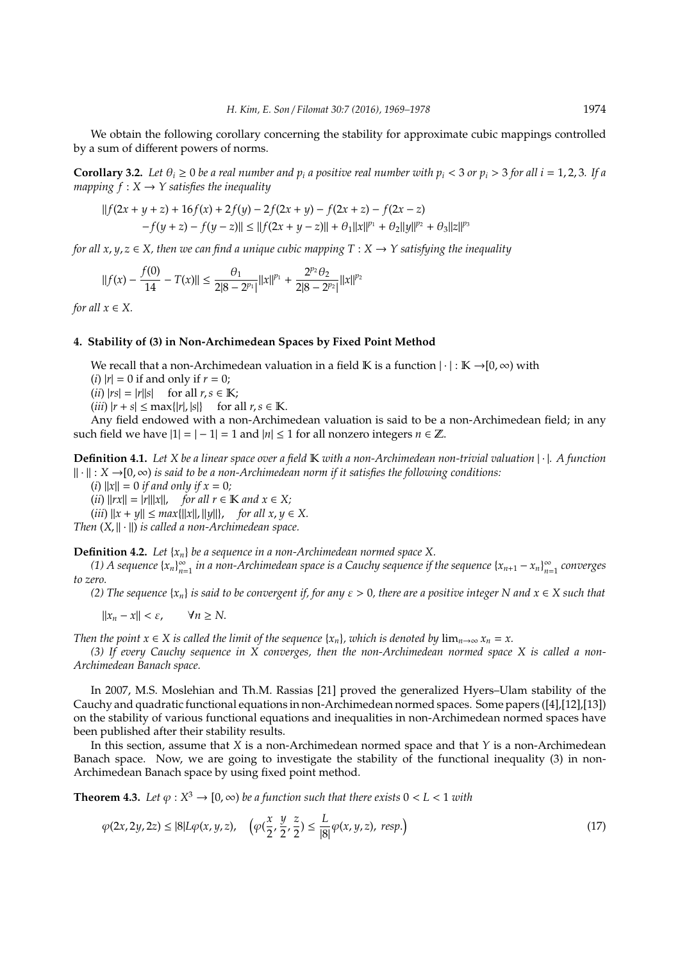We obtain the following corollary concerning the stability for approximate cubic mappings controlled by a sum of different powers of norms.

**Corollary 3.2.** Let  $\theta_i \ge 0$  be a real number and  $p_i$  a positive real number with  $p_i < 3$  or  $p_i > 3$  for all  $i = 1, 2, 3$ . If a *mapping*  $f: X \rightarrow Y$  *satisfies the inequality* 

$$
||f(2x + y + z) + 16f(x) + 2f(y) - 2f(2x + y) - f(2x + z) - f(2x - z) - f(y + z) - f(y - z)|| \le ||f(2x + y - z)|| + \theta_1 ||x||^{p_1} + \theta_2 ||y||^{p_2} + \theta_3 ||z||^{p_3}
$$

*for all x*,  $y, z \in X$ , then we can find a unique cubic mapping  $T : X \rightarrow Y$  satisfying the inequality

$$
||f(x) - \frac{f(0)}{14} - T(x)|| \le \frac{\theta_1}{2|8 - 2^{p_1}|} ||x||^{p_1} + \frac{2^{p_2} \theta_2}{2|8 - 2^{p_2}|} ||x||^{p_2}
$$

*for all*  $x \in X$ *.* 

#### **4. Stability of (3) in Non-Archimedean Spaces by Fixed Point Method**

We recall that a non-Archimedean valuation in a field K is a function  $|\cdot|: K \rightarrow [0,\infty)$  with (*i*)  $|r| = 0$  if and only if  $r = 0$ ;  $(iii)$   $|rs| = |r||s|$  for all  $r, s \in \mathbb{K}$ ;

 $(iii)$   $|r + s| \leq \max\{|r|, |s|\}$  for all  $r, s \in \mathbb{K}$ .

Any field endowed with a non-Archimedean valuation is said to be a non-Archimedean field; in any such field we have  $|1| = |-1| = 1$  and  $|n| \le 1$  for all nonzero integers  $n \in \mathbb{Z}$ .

**Definition 4.1.** *Let X be a linear space over a field* K *with a non-Archimedean non-trivial valuation* | · |*. A function* k · k : *X* →[0, ∞) *is said to be a non-Archimedean norm if it satisfies the following conditions:*

 $(i)$   $||x|| = 0$  *if and only if*  $x = 0$ *;* 

 $(iii)$   $\|rx\| = |r|\|x\|$ , *for all r*  $\in$  **K** *and*  $x \in X$ ;

 $(iii)$   $||x + y|| \leq max{||x||, ||y||},$  *for all x, y*  $\in$  *X.* 

*Then*  $(X, \| \cdot \|)$  *is called a non-Archimedean space.* 

**Definition 4.2.** *Let* {*xn*} *be a sequence in a non-Archimedean normed space X.*

*(1) A sequence*  $\{x_n\}_{n=1}^{\infty}$  $\sum_{n=1}^{\infty}$  *in a non-Archimedean space is a Cauchy sequence if the sequence*  $\{x_{n+1} - x_n\}_{n=1}^{\infty}$ *n*=1 *converges to zero.*

*(2) The sequence*  $\{x_n\}$  *is said to be convergent if, for any*  $\varepsilon > 0$ , there are a positive integer N and  $x \in X$  such that

 $||x_n - x|| < \varepsilon$ ,  $\forall n \ge N$ .

*Then the point*  $x \in X$  *is called the limit of the sequence*  $\{x_n\}$ *, which is denoted by*  $\lim_{n\to\infty} x_n = x$ *.* 

*(3) If every Cauchy sequence in X converges, then the non-Archimedean normed space X is called a non-Archimedean Banach space.*

In 2007, M.S. Moslehian and Th.M. Rassias [21] proved the generalized Hyers–Ulam stability of the Cauchy and quadratic functional equations in non-Archimedean normed spaces. Some papers ([4],[12],[13]) on the stability of various functional equations and inequalities in non-Archimedean normed spaces have been published after their stability results.

In this section, assume that *X* is a non-Archimedean normed space and that *Y* is a non-Archimedean Banach space. Now, we are going to investigate the stability of the functional inequality (3) in non-Archimedean Banach space by using fixed point method.

**Theorem 4.3.** Let  $\varphi: X^3 \to [0, \infty)$  be a function such that there exists  $0 < L < 1$  with

$$
\varphi(2x, 2y, 2z) \le |8|L\varphi(x, y, z), \quad \left(\varphi(\frac{x}{2}, \frac{y}{2}, \frac{z}{2}) \le \frac{L}{|8|} \varphi(x, y, z), \text{ resp.}\right) \tag{17}
$$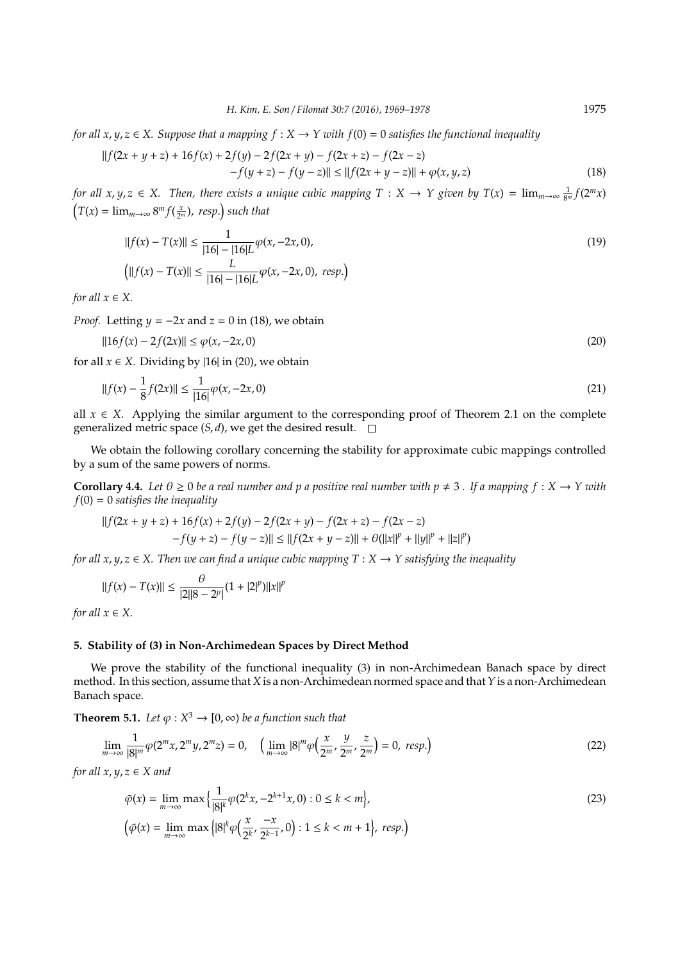*for all x*,  $y, z \in X$ . Suppose that a mapping  $f : X \to Y$  with  $f(0) = 0$  satisfies the functional inequality

$$
||f(2x + y + z) + 16f(x) + 2f(y) - 2f(2x + y) - f(2x + z) - f(2x - z)
$$
  
- 
$$
-f(y + z) - f(y - z)|| \le ||f(2x + y - z)|| + \varphi(x, y, z)
$$
 (18)

*for all*  $x, y, z \in X$ . Then, there exists a unique cubic mapping  $T: X \to Y$  given by  $T(x) = \lim_{m \to \infty} \frac{1}{8^m} f(2^m x)$  $T(x) = \lim_{m \to \infty} 8^m f(\frac{x}{2^m})$ , *resp.*) such that

$$
||f(x) - T(x)|| \le \frac{1}{|16| - |16|L} \varphi(x, -2x, 0),
$$
  
\n
$$
\left( ||f(x) - T(x)|| \le \frac{L}{|16| - |16|L} \varphi(x, -2x, 0), \text{ resp.} \right)
$$
\n(19)

*for all*  $x \in X$ *.* 

*Proof.* Letting  $y = -2x$  and  $z = 0$  in (18), we obtain

$$
||16f(x) - 2f(2x)|| \le \varphi(x, -2x, 0)
$$
\n(20)

for all  $x \in X$ . Dividing by |16| in (20), we obtain

$$
||f(x) - \frac{1}{8}f(2x)|| \le \frac{1}{|16|}\varphi(x, -2x, 0)
$$
\n(21)

all  $x \in X$ . Applying the similar argument to the corresponding proof of Theorem 2.1 on the complete generalized metric space  $(S, d)$ , we get the desired result.  $\square$ 

We obtain the following corollary concerning the stability for approximate cubic mappings controlled by a sum of the same powers of norms.

**Corollary 4.4.** Let  $\theta \ge 0$  be a real number and p a positive real number with  $p \ne 3$ . If a mapping  $f : X \to Y$  with *f*(0) = 0 *satisfies the inequality*

$$
||f(2x + y + z) + 16f(x) + 2f(y) - 2f(2x + y) - f(2x + z) - f(2x - z)
$$
  
-f(y + z) - f(y - z)|| \le ||f(2x + y - z)|| + \theta(||x||<sup>p</sup> + ||y||<sup>p</sup> + ||z||<sup>p</sup>)

*for all x*,  $y, z \in X$ . Then we can find a unique cubic mapping  $T : X \rightarrow Y$  satisfying the inequality

$$
||f(x) - T(x)|| \le \frac{\theta}{|2||8 - 2^p|}(1 + |2|^p)||x||^p
$$

*for all*  $x \in X$ *.* 

### **5. Stability of (3) in Non-Archimedean Spaces by Direct Method**

We prove the stability of the functional inequality (3) in non-Archimedean Banach space by direct method. In this section, assume that *X* is a non-Archimedean normed space and that*Y* is a non-Archimedean Banach space.

**Theorem 5.1.** *Let*  $\varphi$  :  $X^3 \to [0, \infty)$  *be a function such that* 

$$
\lim_{m \to \infty} \frac{1}{|8|^m} \varphi(2^m x, 2^m y, 2^m z) = 0, \quad \left(\lim_{m \to \infty} |8|^m \varphi\left(\frac{x}{2^m}, \frac{y}{2^m}, \frac{z}{2^m}\right) = 0, \text{ resp.}\right)
$$
\n(22)

*for all x*,  $y, z \in X$  *and* 

$$
\tilde{\varphi}(x) = \lim_{m \to \infty} \max \left\{ \frac{1}{|8|^k} \varphi(2^k x, -2^{k+1} x, 0) : 0 \le k < m \right\},\
$$
\n
$$
\left( \tilde{\varphi}(x) = \lim_{m \to \infty} \max \left\{ |8|^k \varphi\left(\frac{x}{2^k}, \frac{-x}{2^{k-1}}, 0\right) : 1 \le k < m+1 \right\}, \text{ resp.} \right\} \tag{23}
$$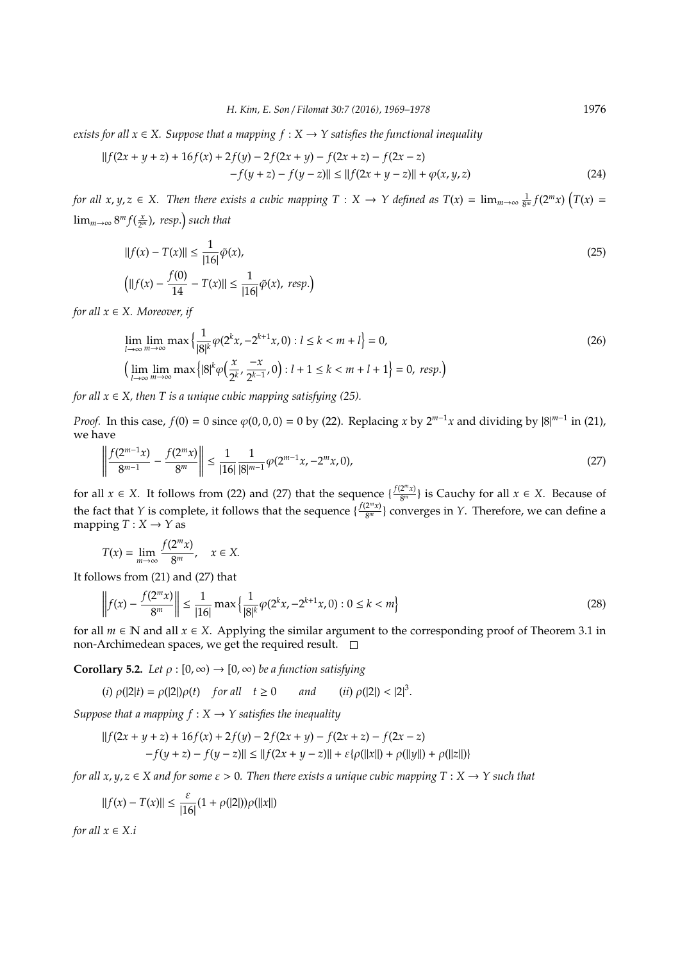*exists for all*  $x \in X$ . Suppose that a mapping  $f : X \rightarrow Y$  satisfies the functional inequality

$$
||f(2x + y + z) + 16f(x) + 2f(y) - 2f(2x + y) - f(2x + z) - f(2x - z)
$$
  
- 
$$
-f(y + z) - f(y - z)|| \le ||f(2x + y - z)|| + \varphi(x, y, z)
$$
 (24)

*for all*  $x, y, z \in X$ . Then there exists a cubic mapping  $T : X \to Y$  defined as  $T(x) = \lim_{m \to \infty} \frac{1}{8^m} f(2^m x) (T(x) =$  $\lim_{m\to\infty} 8^m f(\frac{x}{2^m})$ , resp.) such that

$$
||f(x) - T(x)|| \le \frac{1}{|16|}\tilde{\varphi}(x),
$$
  
\n
$$
\left(||f(x) - \frac{f(0)}{14} - T(x)|| \le \frac{1}{|16|}\tilde{\varphi}(x), \text{ resp.}\right)
$$
\n(25)

*for all x* ∈ *X. Moreover, if*

$$
\lim_{l \to \infty} \lim_{m \to \infty} \max \left\{ \frac{1}{|\mathcal{B}|^{k}} \varphi(2^{k} x, -2^{k+1} x, 0) : l \le k < m + l \right\} = 0,
$$
\n
$$
\left( \lim_{l \to \infty} \lim_{m \to \infty} \max \left\{ |\mathcal{B}|^{k} \varphi\left(\frac{x}{2^{k}}, \frac{-x}{2^{k-1}}, 0\right) : l + 1 \le k < m + l + 1 \right\} = 0, resp.) \right\}
$$
\n(26)

*for all*  $x \in X$ *, then T is a unique cubic mapping satisfying (25).* 

*Proof.* In this case,  $f(0) = 0$  since  $\varphi(0,0,0) = 0$  by (22). Replacing *x* by  $2^{m-1}x$  and dividing by  $|8|^{m-1}$  in (21), we have

$$
\left\| \frac{f(2^{m-1}x)}{8^{m-1}} - \frac{f(2^m x)}{8^m} \right\| \le \frac{1}{|16|} \frac{1}{|8|^{m-1}} \varphi(2^{m-1}x, -2^m x, 0),\tag{27}
$$

for all *x*  $\in$  *X*. It follows from (22) and (27) that the sequence  $\{\frac{f(2^m x)}{8^m}\}$  $\left\{\frac{2^m x}{8^m}\right\}$  is Cauchy for all  $x \in X$ . Because of the fact that *Y* is complete, it follows that the sequence  $\{\frac{f(2^m x)}{8^m}\}$  $\frac{2^{m}x}{8^{m}}$ } converges in *Y*. Therefore, we can define a mapping  $T: X \rightarrow Y$  as

$$
T(x) = \lim_{m \to \infty} \frac{f(2^m x)}{8^m}, \quad x \in X.
$$

It follows from (21) and (27) that

$$
\left\| f(x) - \frac{f(2^m x)}{8^m} \right\| \le \frac{1}{|16|} \max \left\{ \frac{1}{|8|^k} \varphi(2^k x, -2^{k+1} x, 0) : 0 \le k < m \right\} \tag{28}
$$

for all  $m \in \mathbb{N}$  and all  $x \in X$ . Applying the similar argument to the corresponding proof of Theorem 3.1 in non-Archimedean spaces, we get the required result.  $\Box$ 

**Corollary 5.2.** *Let*  $\rho : [0, \infty) \to [0, \infty)$  *be a function satisfying* 

(*i*)  $\rho(|2|t) = \rho(|2|)\rho(t)$  *for all*  $t \ge 0$  *and* 3 .

*Suppose that a mapping*  $f : X \rightarrow Y$  *satisfies the inequality* 

$$
||f(2x + y + z) + 16f(x) + 2f(y) - 2f(2x + y) - f(2x + z) - f(2x - z)
$$
  
-f(y + z) - f(y - z)|| \le ||f(2x + y - z)|| + \varepsilon{\rho(||x||) + \rho(||y||) + \rho(||z||)}

*for all x, y, z*  $\in$  *X and for some*  $\varepsilon$  > 0. Then there exists a unique cubic mapping T : X  $\rightarrow$  Y such that

$$
\|f(x) - T(x)\| \leq \frac{\varepsilon}{|16|}(1 + \rho(|2|))\rho(\|x\|)
$$

*for all*  $x \in X.i$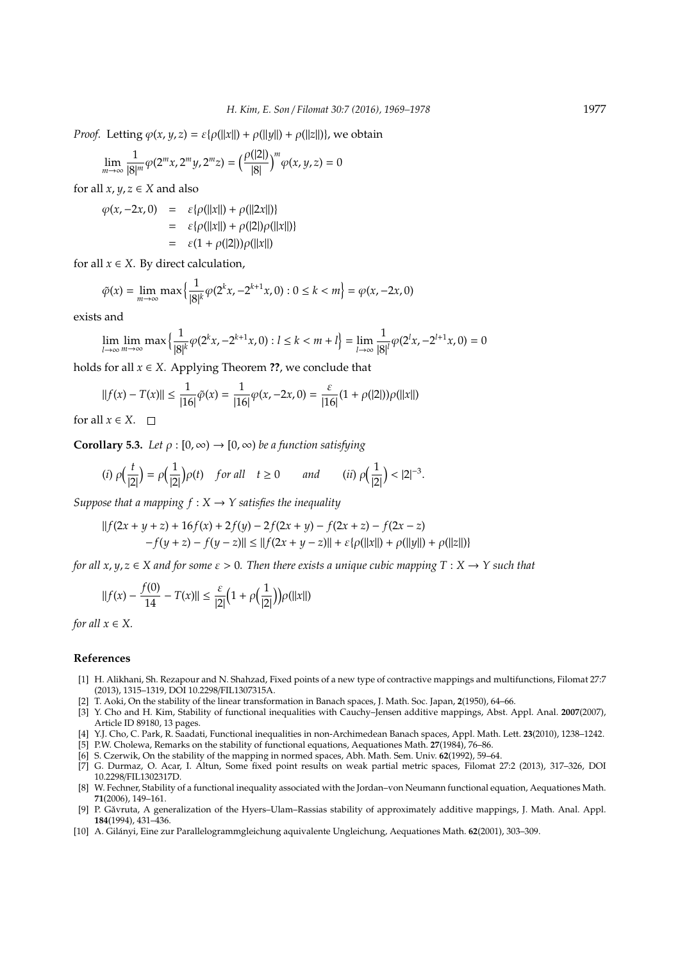*Proof.* Letting  $\varphi(x, y, z) = \varepsilon \{\rho(||x||) + \rho(||y||) + \rho(||z||)\}$ , we obtain

$$
\lim_{m \to \infty} \frac{1}{|8|^m} \varphi(2^m x, 2^m y, 2^m z) = \left(\frac{\rho(|2|)}{|8|}\right)^m \varphi(x, y, z) = 0
$$

for all  $x, y, z \in X$  and also

$$
\varphi(x, -2x, 0) = \varepsilon {\rho(||x||) + \rho(||2x||)}
$$
  
=  $\varepsilon {\rho(||x||) + \rho(||2|)\rho(||x||)}$   
=  $\varepsilon (1 + \rho(|2|))\rho(||x||)$ 

for all  $x \in X$ . By direct calculation,

$$
\tilde{\varphi}(x) = \lim_{m \to \infty} \max \left\{ \frac{1}{|8|^k} \varphi(2^k x, -2^{k+1} x, 0) : 0 \le k < m \right\} = \varphi(x, -2x, 0)
$$

exists and

$$
\lim_{l \to \infty} \lim_{m \to \infty} \max \left\{ \frac{1}{|\mathcal{B}|^k} \varphi(2^k x, -2^{k+1} x, 0) : l \le k < m+l \right\} = \lim_{l \to \infty} \frac{1}{|\mathcal{B}|^l} \varphi(2^l x, -2^{l+1} x, 0) = 0
$$

holds for all  $x \in X$ . Applying Theorem **??**, we conclude that

$$
||f(x) - T(x)|| \le \frac{1}{|16|}\tilde{\varphi}(x) = \frac{1}{|16|}\varphi(x, -2x, 0) = \frac{\varepsilon}{|16|}(1 + \rho(|2|))\rho(||x||)
$$

for all  $x \in X$ .  $\Box$ 

**Corollary 5.3.** *Let*  $\rho : [0, \infty) \to [0, \infty)$  *be a function satisfying* 

(i) 
$$
\rho(\frac{t}{|2|}) = \rho(\frac{1}{|2|})\rho(t)
$$
 for all  $t \ge 0$  and (ii)  $\rho(\frac{1}{|2|}) < |2|^{-3}$ .

*Suppose that a mapping*  $f : X \rightarrow Y$  *satisfies the inequality* 

$$
||f(2x + y + z) + 16f(x) + 2f(y) - 2f(2x + y) - f(2x + z) - f(2x - z)
$$
  
-f(y + z) - f(y - z)|| \le ||f(2x + y - z)|| + \varepsilon{\rho(||x||) + \rho(||y||) + \rho(||z||)}

*for all x*,  $y, z \in X$  and for some  $\varepsilon > 0$ . Then there exists a unique cubic mapping  $T : X \to Y$  such that

$$
||f(x) - \frac{f(0)}{14} - T(x)|| \le \frac{\varepsilon}{|2|} \Big( 1 + \rho \Big( \frac{1}{|2|} \Big) \Big) \rho(||x||)
$$

*for all*  $x \in X$ .

## **References**

- [1] H. Alikhani, Sh. Rezapour and N. Shahzad, Fixed points of a new type of contractive mappings and multifunctions, Filomat 27:7 (2013), 1315–1319, DOI 10.2298/FIL1307315A.
- [2] T. Aoki, On the stability of the linear transformation in Banach spaces, J. Math. Soc. Japan, **2**(1950), 64–66.
- [3] Y. Cho and H. Kim, Stability of functional inequalities with Cauchy–Jensen additive mappings, Abst. Appl. Anal. **2007**(2007), Article ID 89180, 13 pages.
- [4] Y.J. Cho, C. Park, R. Saadati, Functional inequalities in non-Archimedean Banach spaces, Appl. Math. Lett. **23**(2010), 1238–1242.
- [5] P.W. Cholewa, Remarks on the stability of functional equations, Aequationes Math. **27**(1984), 76–86.
- [6] S. Czerwik, On the stability of the mapping in normed spaces, Abh. Math. Sem. Univ. **62**(1992), 59–64.
- [7] G. Durmaz, O. Acar, I. Altun, Some fixed point results on weak partial metric spaces, Filomat 27:2 (2013), 317–326, DOI 10.2298/FIL1302317D.
- [8] W. Fechner, Stability of a functional inequality associated with the Jordan–von Neumann functional equation, Aequationes Math. **71**(2006), 149–161.
- [9] P. Găvruta, A generalization of the Hyers–Ulam–Rassias stability of approximately additive mappings, J. Math. Anal. Appl. **184**(1994), 431–436.
- [10] A. Gilanyi, Eine zur Parallelogrammgleichung aquivalente Ungleichung, Aequationes Math. ´ **62**(2001), 303–309.